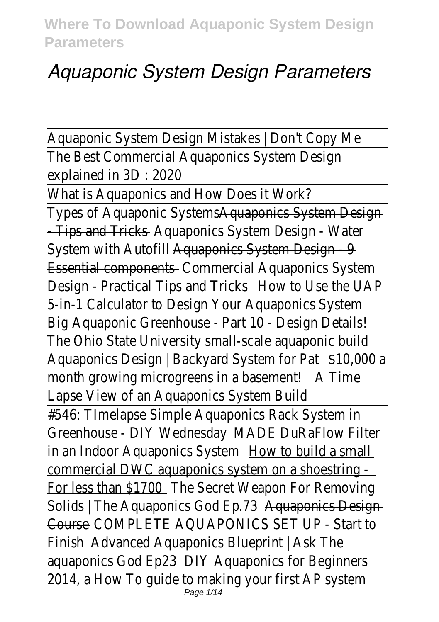# *Aquaponic System Design Parameters*

Aquaponic System Design Mistakes | Don't Copy M The Best Commercial Aquaponics System Design explained in 3D : 2020

What is Aquaponics and How Does it Work? Types of Aquaponic System System Design - Tips and Trickquaponics System Design - Water System with Autorillanders System Design - 9 Essential componerdummercial Aquaponics System Design - Practical Tips and How to Use the UAP 5-in-1 Calculator to Design Your Aquaponics Syste Big Aquaponic Greenhouse - Part 10 - Design Deta The Ohio State University small-scale aquaponic bu Aquaponics Design | Backyard System CoOPata month growing microgreens in a basement! Lapse View of an Aquaponics System Build #546: TImelapse Simple Aquaponics Rack System i Greenhouse - DIY WednesdayE DuRaFlow Filter in an Indoor Aquaponics Stration build a small commercial DWC aquaponics system on a shoestr For less than \$1770 C Secret Weapon For Removing Solids | The Aquaponics God Acquanties Design CourseCOMPLETE AQUAPONICS SET UP - Start to FinishAdvanced Aquaponics Blueprint | Ask The aquaponics God ED23 Aquaponics for Beginners 2014, a How To guide to making your first AP sys Page 1/14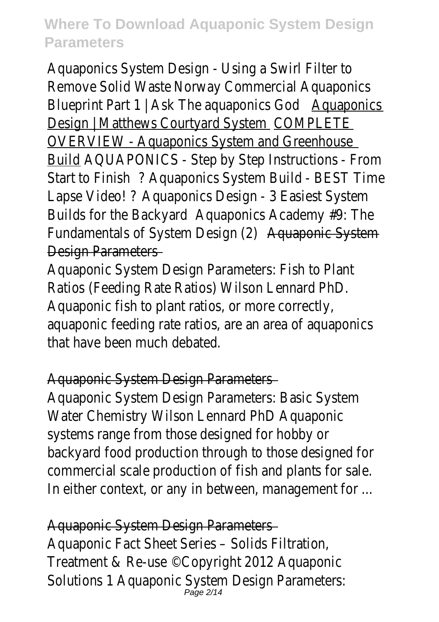Aquaponics System Design - Using a Swirl Filter to Remove Solid Wasteway Commercial Aquaponics Blueprint Part  $1 \mid$  Ask The aquaponics Design | Matthews Courtyar@SMSPLETE OVERVIEW - Aquaponics System and Greenhouse BuildAQUAPONICS - Step by Step Instructions - Fr Start to FinßAquaponics System Build - BEST Time Lapse Video! Aquaponics Design - 3 Easiest System Builds for the Back $\&$ ard ponics Academy #9: The Fundamentals of System Designa(2) hic System Design Parameters

Aquaponic System Design Parameters: Fish to Plar Ratios (Feeding Rate Ratios) Wilson Lennard PhD. Aquaponic fish to plant ratios, or more correctly, aquaponic feeding rate ratios, are an area of aqua that have been much debated.

#### Aquaponic System Design Parameters

Aquaponic System Design Parameters: Basic Syste Water Chemistry Wilson Lennard PhD Aquaponic systems range from those designed for hobby or backyard food production through to those designed commercial scale production of fish and plants for In either context, or any in between, management

Aquaponic System Design Parameters Aquaponic Fact Sheet Series – Solids Filtration, Treatment & Re-use ©Copyright 2012 Aquaponic Solutions 1 Aquaponic System Design Parameters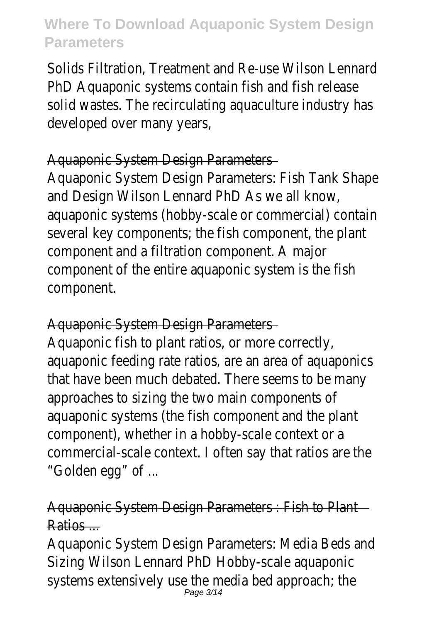Solids Filtration, Treatment and Re-use Wilson Len PhD Aquaponic systems contain fish and fish release solid wastes. The recirculating aquaculture indust developed over many years,

#### Aquaponic System Design Parameters

Aquaponic System Design Parameters: Fish Tank S and Design Wilson Lennard PhD As we all know, aquaponic systems (hobby-scale or commercial) contain several key components; the fish component, the component and a filtration component. A major component of the entire aquaponic system is the component.

#### Aquaponic System Design Parameters

Aquaponic fish to plant ratios, or more correctly, aquaponic feeding rate ratios, are an area of aqua that have been much debated. There seems to be approaches to sizing the two main components of aquaponic systems (the fish component and the plant component), whether in a hobby-scale context or commercial-scale context. I often say that ratios "Golden egg" of ...

#### Aquaponic System Design Parameters : Fish to Pla Ratios ...

Aquaponic System Design Parameters: Media Beds Sizing Wilson Lennard PhD Hobby-scale aquaponic systems extensively use the media bed approach;<br> $\frac{Page 3/14}$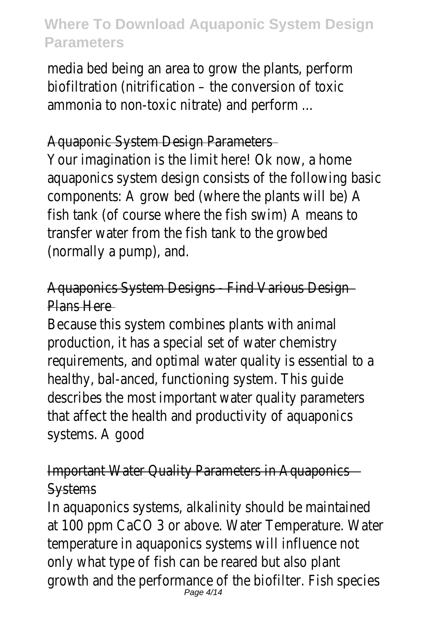media bed being an area to grow the plants, perforbiofiltration (nitrification – the conversion of toxic ammonia to non-toxic nitrate) and perform ...

#### Aquaponic System Design Parameters

Your imagination is the limit here! Ok now, a home aquaponics system design consists of the followir components: A grow bed (where the plants will be fish tank (of course where the fish swim) A mean transfer water from the fish tank to the growbed (normally a pump), and.

Aquaponics System Designs - Find Various Design Plans Here

Because this system combines plants with animal production, it has a special set of water chemistr requirements, and optimal water quality is essent healthy, bal-anced, functioning system. This guide describes the most important water quality paran that affect the health and productivity of aquaponic systems. A good

Important Water Quality Parameters in Aquaponic **Systems** 

In aquaponics systems, alkalinity should be mainta at 100 ppm CaCO 3 or above. Water Temperature temperature in aquaponics systems will influence only what type of fish can be reared but also plar growth and the performance of the biofilter. Fish<br>Page 4/14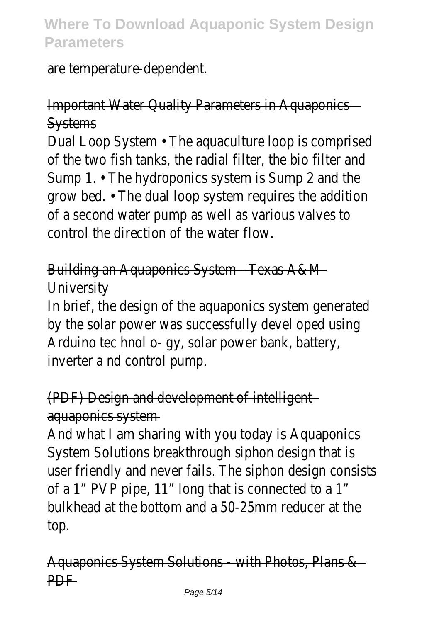are temperature-dependent.

Important Water Quality Parameters in Aquaponic **Systems** 

Dual Loop System • The aquaculture loop is compr of the two fish tanks, the radial filter, the bio filter Sump 1.  $\cdot$  The hydroponics system is Sump 2 and grow bed. • The dual loop system requires the adder of a second water pump as well as various valves control the direction of the water flow.

# Building an Aquaponics System - Texas A&M **University**

In brief, the design of the aquaponics system gene by the solar power was successfully devel oped u Arduino tec hnol o- gy, solar power bank, battery, inverter a nd control pump.

### (PDF) Design and development of intelligent aquaponics system

And what I am sharing with you today is Aquapon System Solutions breakthrough siphon design that user friendly and never fails. The siphon design co of a 1" PVP pipe, 11" long that is connected to a ' bulkhead at the bottom and a 50-25mm reducer top.

Aquaponics System Solutions - with Photos, Plans **PDF**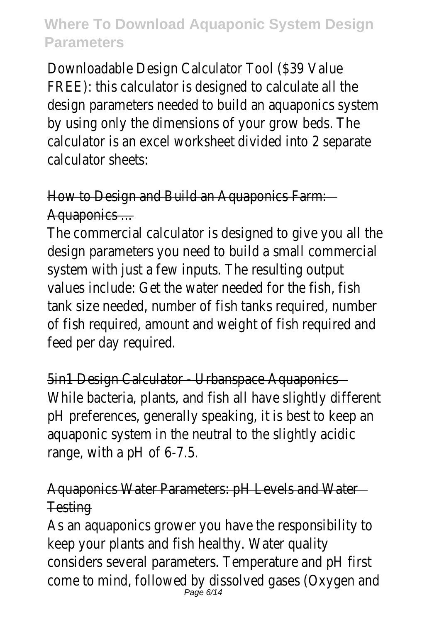Downloadable Design Calculator Tool (\$39 Value FREE): this calculator is designed to calculate all t design parameters needed to build an aquaponics by using only the dimensions of your grow beds. calculator is an excel worksheet divided into 2 separated calculator sheets:

How to Design and Build an Aquaponics Farm: Aquaponics ...

The commercial calculator is designed to give you design parameters you need to build a small comn system with just a few inputs. The resulting outp values include: Get the water needed for the fish, tank size needed, number of fish tanks required, n of fish required, amount and weight of fish requir feed per day required.

5in1 Design Calculator - Urbanspace Aquaponics While bacteria, plants, and fish all have slightly dif pH preferences, generally speaking, it is best to ke aquaponic system in the neutral to the slightly ac range, with a pH of 6-7.5.

#### Aquaponics Water Parameters: pH Levels and Wat **Testing**

As an aquaponics grower you have the responsibil keep your plants and fish healthy. Water quality considers several parameters. Temperature and pH come to mind, followed by dissolved gases (Oxyge<br>Page 6/14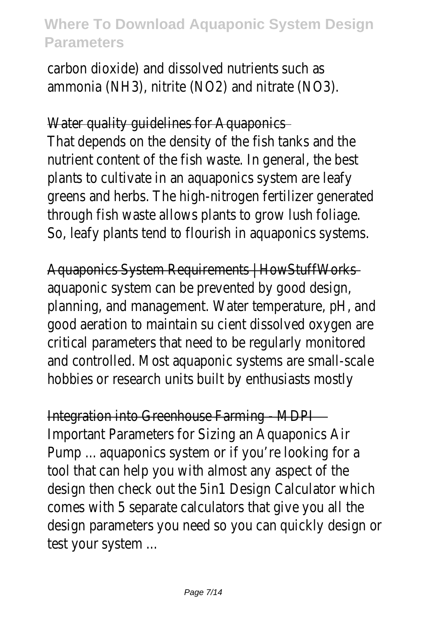carbon dioxide) and dissolved nutrients such as ammonia (NH3), nitrite (NO2) and nitrate (NO3).

Water quality quidelines for Aquaponics

That depends on the density of the fish tanks and nutrient content of the fish waste. In general, the plants to cultivate in an aquaponics system are leaft greens and herbs. The high-nitrogen fertilizer gene through fish waste allows plants to grow lush fol So, leafy plants tend to flourish in aquaponics sys

Aquaponics System Requirements | HowStuffWork aquaponic system can be prevented by good desig planning, and management. Water temperature, pH good aeration to maintain su cient dissolved oxygen critical parameters that need to be regularly moni and controlled. Most aquaponic systems are small hobbies or research units built by enthusiasts most

Integration into Greenhouse Farming - MDPI Important Parameters for Sizing an Aquaponics Air Pump ... aquaponics system or if you're looking for tool that can help you with almost any aspect of design then check out the 5in1 Design Calculator comes with 5 separate calculators that give you design parameters you need so you can quickly de test your system ...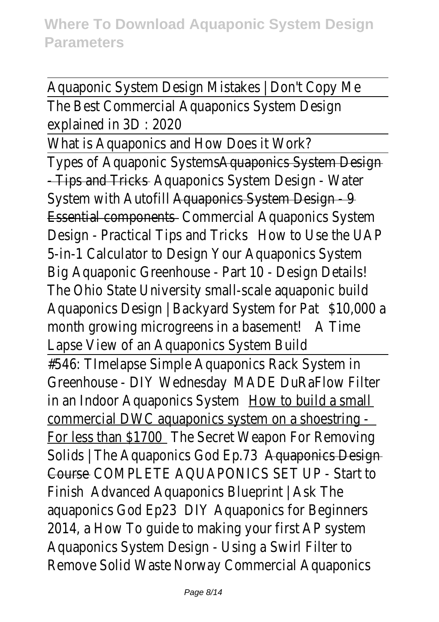Aquaponic System Design Mistakes | Don't Copy M The Best Commercial Aquaponics System Design explained in 3D : 2020

What is Aquaponics and How Does it Work? Types of Aquaponic System System Design - Tips and Trick puaponics System Design - Water System with Autorilla ponics System Design - 9 Essential compon@ddsmercial Aquaponics System Design - Practical Tips and How kso Use the UAP 5-in-1 Calculator to Design Your Aquaponics Syste Big Aquaponic Greenhouse - Part 10 - Design Deta The Ohio State University small-scale aquaponic bu Aquaponics Design | Backyard System CoOPata month growing microgreens in a basement! Lapse View of an Aquaponics System Build #546: TImelapse Simple Aquaponics Rack System i Greenhouse - DIY Wednesday EDuRaFlow Filter in an Indoor Aquaponics S**ystem How build a small** commercial DWC aquaponics system on a shoestr For less than \$1770 @ Cocret Weapon For Removing Solids | The Aquaponics God Actual Connects Design CourseCOMPLETE AQUAPONICS SET UP - Start to FinishAdvanced Aquaponics Blueprint | Ask The aquaponics God ED23 Aquaponics for Beginners 2014, a How To guide to making your first AP system Aquaponics System Design - Using a Swirl Filter to Remove Solid Wasteway Commercial Aquaponics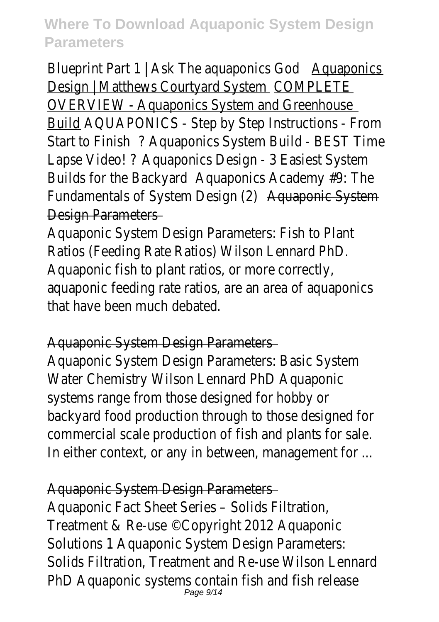Blueprint Part  $1 \mid$  Ask The aquaponics Design | Matthews Courtyar@GMSPLETE OVERVIEW - Aquaponics System and Greenhouse BuildAQUAPONICS - Step by Step Instructions - Fr Start to FinßAquaponics System Build - BEST Time Lapse Video! Aquaponics Design - 3 Easiest System Builds for the Back $\frac{4}{3}$ quaponics Academy #9: The Fundamentals of System Designa(20) nic System

Design Parameters

Aquaponic System Design Parameters: Fish to Plar Ratios (Feeding Rate Ratios) Wilson Lennard PhD. Aquaponic fish to plant ratios, or more correctly, aquaponic feeding rate ratios, are an area of aqua that have been much debated.

### Aquaponic System Design Parameters

Aquaponic System Design Parameters: Basic Syste Water Chemistry Wilson Lennard PhD Aquaponic systems range from those designed for hobby or backyard food production through to those design commercial scale production of fish and plants for In either context, or any in between, management

### Aquaponic System Design Parameters

Aquaponic Fact Sheet Series – Solids Filtration, Treatment & Re-use ©Copyright 2012 Aquaponic Solutions 1 Aquaponic System Design Parameters: Solids Filtration, Treatment and Re-use Wilson Len PhD Aquaponic systems contain fish and fish relearly page 9/14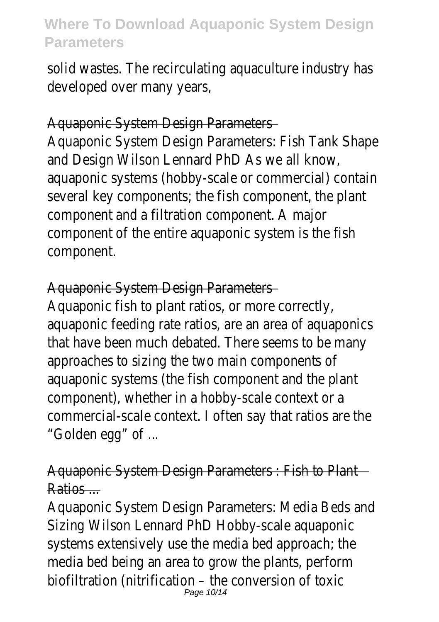solid wastes. The recirculating aquaculture indust developed over many years,

#### Aquaponic System Design Parameters

Aquaponic System Design Parameters: Fish Tank S and Design Wilson Lennard PhD As we all know, aquaponic systems (hobby-scale or commercial) contained several key components; the fish component, the component and a filtration component. A major component of the entire aquaponic system is the component.

#### Aquaponic System Design Parameters

Aquaponic fish to plant ratios, or more correctly, aquaponic feeding rate ratios, are an area of aqua that have been much debated. There seems to be approaches to sizing the two main components of aquaponic systems (the fish component and the plant component), whether in a hobby-scale context or commercial-scale context. I often say that ratios "Golden egg" of ...

### Aquaponic System Design Parameters : Fish to Pla Ratios ...

Aquaponic System Design Parameters: Media Beds Sizing Wilson Lennard PhD Hobby-scale aquaponic systems extensively use the media bed approach; media bed being an area to grow the plants, perforbiofiltration (nitrification – the conversion of toxic Page 10/14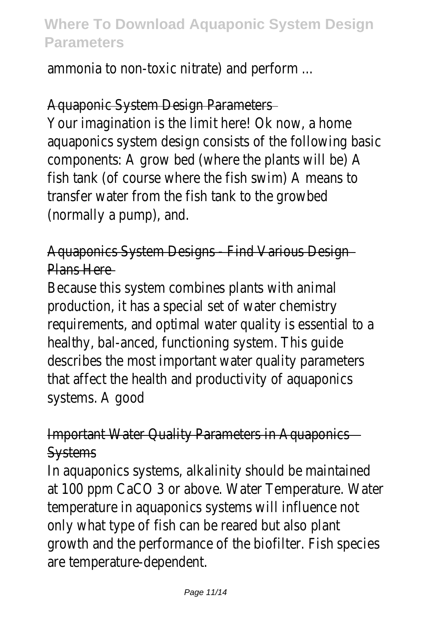ammonia to non-toxic nitrate) and perform ...

#### Aquaponic System Design Parameters

Your imagination is the limit here! Ok now, a home aquaponics system design consists of the followir components: A grow bed (where the plants will be fish tank (of course where the fish swim) A mean transfer water from the fish tank to the growbed (normally a pump), and.

Aquaponics System Designs - Find Various Design Plans Here

Because this system combines plants with animal production, it has a special set of water chemistr requirements, and optimal water quality is essent healthy, bal-anced, functioning system. This guide describes the most important water quality paran that affect the health and productivity of aquaponic systems. A good

Important Water Quality Parameters in Aquaponic **Systems** 

In aquaponics systems, alkalinity should be mainta at 100 ppm CaCO 3 or above. Water Temperature temperature in aquaponics systems will influence only what type of fish can be reared but also plar growth and the performance of the biofilter. Fish are temperature-dependent.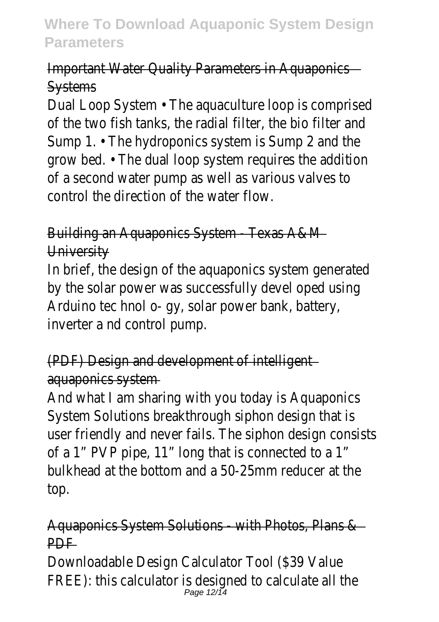### Important Water Quality Parameters in Aquaponic **Systems**

Dual Loop System • The aquaculture loop is compr of the two fish tanks, the radial filter, the bio filter Sump 1.  $\cdot$  The hydroponics system is Sump 2 and grow bed. • The dual loop system requires the add of a second water pump as well as various valves control the direction of the water flow.

# Building an Aquaponics System - Texas A&M **University**

In brief, the design of the aquaponics system gene by the solar power was successfully devel oped u Arduino tec hnol o- gy, solar power bank, battery, inverter a nd control pump.

# (PDF) Design and development of intelligent aquaponics system

And what I am sharing with you today is Aquapon System Solutions breakthrough siphon design that user friendly and never fails. The siphon design co of a 1" PVP pipe, 11" long that is connected to a ' bulkhead at the bottom and a 50-25mm reducer top.

### Aquaponics System Solutions - with Photos, Plans **PDF**

Downloadable Design Calculator Tool (\$39 Value FREE): this calculator is designed to calculate all t<br> $\frac{Page 12/14}$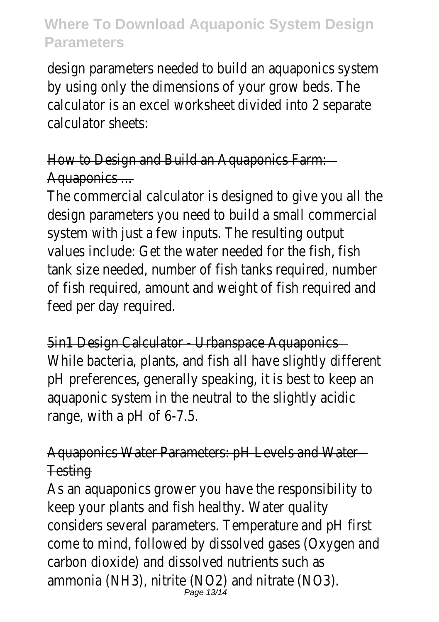design parameters needed to build an aquaponics by using only the dimensions of your grow beds. calculator is an excel worksheet divided into 2 set calculator sheets:

How to Design and Build an Aquaponics Farm: Aquaponics ...

The commercial calculator is designed to give you design parameters you need to build a small comn system with just a few inputs. The resulting outp values include: Get the water needed for the fish, tank size needed, number of fish tanks required, n of fish required, amount and weight of fish requir feed per day required.

5in1 Design Calculator - Urbanspace Aquaponics While bacteria, plants, and fish all have slightly dif pH preferences, generally speaking, it is best to ke aquaponic system in the neutral to the slightly ac range, with a pH of 6-7.5.

Aquaponics Water Parameters: pH Levels and Wat **Testing** 

As an aquaponics grower you have the responsibil keep your plants and fish healthy. Water quality considers several parameters. Temperature and pH come to mind, followed by dissolved gases (Oxyge carbon dioxide) and dissolved nutrients such as ammonia (NH3), nitrite (NO2) and nitrate (NO3).<br>Page 13/14